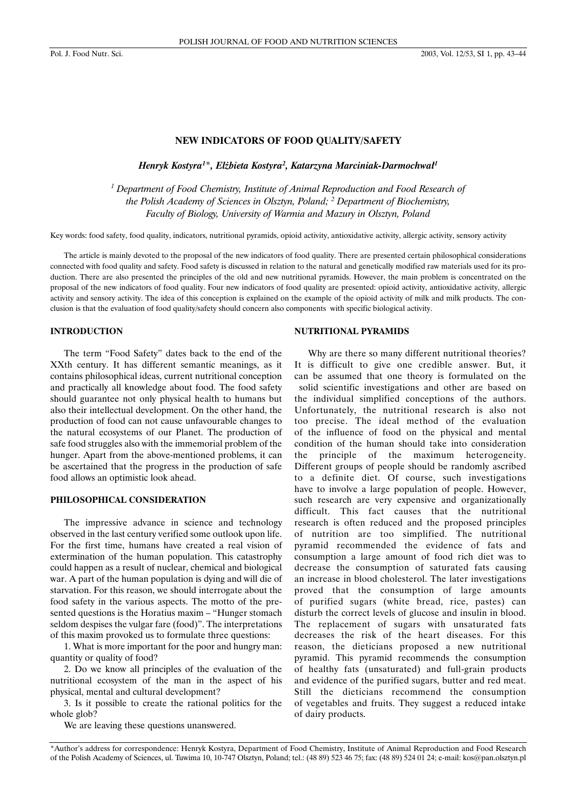#### **NEW INDICATORS OF FOOD QUALITY/SAFETY**

*Henryk Kostyra1* \**, El¿bieta Kostyra2 , Katarzyna Marciniak-Darmochwa³1*

*<sup>1</sup> Department of Food Chemistry, Institute of Animal Reproduction and Food Research of the Polish Academy of Sciences in Olsztyn, Poland; <sup>2</sup> Department of Biochemistry, Faculty of Biology, University of Warmia and Mazury in Olsztyn, Poland*

Key words: food safety, food quality, indicators, nutritional pyramids, opioid activity, antioxidative activity, allergic activity, sensory activity

The article is mainly devoted to the proposal of the new indicators of food quality. There are presented certain philosophical considerations connected with food quality and safety. Food safety is discussed in relation to the natural and genetically modified raw materials used for its production. There are also presented the principles of the old and new nutritional pyramids. However, the main problem is concentrated on the proposal of the new indicators of food quality. Four new indicators of food quality are presented: opioid activity, antioxidative activity, allergic activity and sensory activity. The idea of this conception is explained on the example of the opioid activity of milk and milk products. The conclusion is that the evaluation of food quality/safety should concern also components with specific biological activity.

## **INTRODUCTION**

The term "Food Safety" dates back to the end of the XXth century. It has different semantic meanings, as it contains philosophical ideas, current nutritional conception and practically all knowledge about food. The food safety should guarantee not only physical health to humans but also their intellectual development. On the other hand, the production of food can not cause unfavourable changes to the natural ecosystems of our Planet. The production of safe food struggles also with the immemorial problem of the hunger. Apart from the above-mentioned problems, it can be ascertained that the progress in the production of safe food allows an optimistic look ahead.

## **PHILOSOPHICAL CONSIDERATION**

The impressive advance in science and technology observed in the last century verified some outlook upon life. For the first time, humans have created a real vision of extermination of the human population. This catastrophy could happen as a result of nuclear, chemical and biological war. A part of the human population is dying and will die of starvation. For this reason, we should interrogate about the food safety in the various aspects. The motto of the presented questions is the Horatius maxim – "Hunger stomach seldom despises the vulgar fare (food)". The interpretations of this maxim provoked us to formulate three questions:

1. What is more important for the poor and hungry man: quantity or quality of food?

2. Do we know all principles of the evaluation of the nutritional ecosystem of the man in the aspect of his physical, mental and cultural development?

3. Is it possible to create the rational politics for the whole glob?

We are leaving these questions unanswered.

#### **NUTRITIONAL PYRAMIDS**

Why are there so many different nutritional theories? It is difficult to give one credible answer. But, it can be assumed that one theory is formulated on the solid scientific investigations and other are based on the individual simplified conceptions of the authors. Unfortunately, the nutritional research is also not too precise. The ideal method of the evaluation of the influence of food on the physical and mental condition of the human should take into consideration the principle of the maximum heterogeneity. Different groups of people should be randomly ascribed to a definite diet. Of course, such investigations have to involve a large population of people. However, such research are very expensive and organizationally difficult. This fact causes that the nutritional research is often reduced and the proposed principles of nutrition are too simplified. The nutritional pyramid recommended the evidence of fats and consumption a large amount of food rich diet was to decrease the consumption of saturated fats causing an increase in blood cholesterol. The later investigations proved that the consumption of large amounts of purified sugars (white bread, rice, pastes) can disturb the correct levels of glucose and insulin in blood. The replacement of sugars with unsaturated fats decreases the risk of the heart diseases. For this reason, the dieticians proposed a new nutritional pyramid. This pyramid recommends the consumption of healthy fats (unsaturated) and full-grain products and evidence of the purified sugars, butter and red meat. Still the dieticians recommend the consumption of vegetables and fruits. They suggest a reduced intake of dairy products.

<sup>\*</sup>Author's address for correspondence: Henryk Kostyra, Department of Food Chemistry, Institute of Animal Reproduction and Food Research of the Polish Academy of Sciences, ul. Tuwima 10, 10-747 Olsztyn, Poland; tel.: (48 89) 523 46 75; fax: (48 89) 524 01 24; e-mail: kos@pan.olsztyn.pl